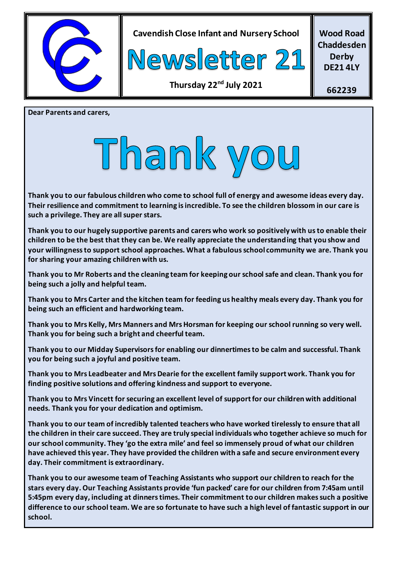

**Cavendish Close Infant and Nursery School**



**Wood Road Chaddesden Derby DE21 4LY**

**Thursday 22nd July 2021**

**662239**

**Dear Parents and carers,**

Thank you

**Thank you to our fabulous children who come to school full of energy and awesome ideas every day. Their resilience and commitment to learning is incredible. To see the children blossom in our care is such a privilege. They are all super stars.**

**Thank you to our hugely supportive parents and carers who work so positively with us to enable their children to be the best that they can be. We really appreciate the understanding that you show and your willingness to support school approaches. What a fabulous school community we are. Thank you for sharing your amazing children with us.**

**Thank you to Mr Roberts and the cleaning team for keeping our school safe and clean. Thank you for being such a jolly and helpful team.**

**Thank you to Mrs Carter and the kitchen team for feeding us healthy meals every day. Thank you for being such an efficient and hardworking team.**

**Thank you to Mrs Kelly, Mrs Manners and Mrs Horsman for keeping our school running so very well. Thank you for being such a bright and cheerful team.**

**Thank you to our Midday Supervisors for enabling our dinnertimes to be calm and successful. Thank you for being such a joyful and positive team.**

**Thank you to Mrs Leadbeater and Mrs Dearie for the excellent family support work. Thank you for finding positive solutions and offering kindness and support to everyone.**

**Thank you to Mrs Vincett for securing an excellent level of support for our children with additional needs. Thank you for your dedication and optimism.**

**Thank you to our team of incredibly talented teachers who have worked tirelessly to ensure that all the children in their care succeed. They are truly special individuals who together achieve so much for our school community. They 'go the extra mile' and feel so immensely proud of what our children have achieved this year. They have provided the children with a safe and secure environment every day. Their commitment is extraordinary.**

**Thank you to our awesome team of Teaching Assistants who support our children to reach for the stars every day. Our Teaching Assistants provide 'fun packed' care for our children from 7:45am until 5:45pm every day, including at dinners times. Their commitment to our children makes such a positive difference to our school team. We are so fortunate to have such a high level of fantastic support in our school.**